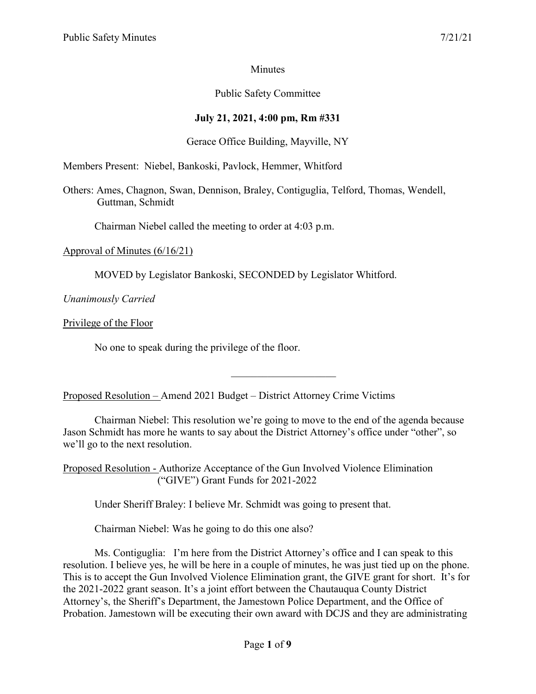# **Minutes**

# Public Safety Committee

# **July 21, 2021, 4:00 pm, Rm #331**

### Gerace Office Building, Mayville, NY

Members Present: Niebel, Bankoski, Pavlock, Hemmer, Whitford

Others: Ames, Chagnon, Swan, Dennison, Braley, Contiguglia, Telford, Thomas, Wendell, Guttman, Schmidt

Chairman Niebel called the meeting to order at 4:03 p.m.

#### Approval of Minutes (6/16/21)

MOVED by Legislator Bankoski, SECONDED by Legislator Whitford.

*Unanimously Carried*

Privilege of the Floor

No one to speak during the privilege of the floor.

Proposed Resolution – Amend 2021 Budget – District Attorney Crime Victims

Chairman Niebel: This resolution we're going to move to the end of the agenda because Jason Schmidt has more he wants to say about the District Attorney's office under "other", so we'll go to the next resolution.

Proposed Resolution - Authorize Acceptance of the Gun Involved Violence Elimination ("GIVE") Grant Funds for 2021-2022

Under Sheriff Braley: I believe Mr. Schmidt was going to present that.

Chairman Niebel: Was he going to do this one also?

Ms. Contiguglia: I'm here from the District Attorney's office and I can speak to this resolution. I believe yes, he will be here in a couple of minutes, he was just tied up on the phone. This is to accept the Gun Involved Violence Elimination grant, the GIVE grant for short. It's for the 2021-2022 grant season. It's a joint effort between the Chautauqua County District Attorney's, the Sheriff's Department, the Jamestown Police Department, and the Office of Probation. Jamestown will be executing their own award with DCJS and they are administrating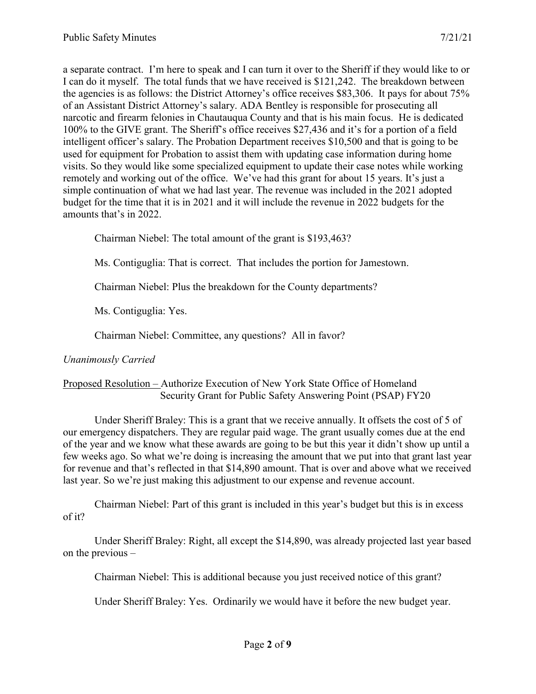a separate contract. I'm here to speak and I can turn it over to the Sheriff if they would like to or I can do it myself. The total funds that we have received is \$121,242. The breakdown between the agencies is as follows: the District Attorney's office receives \$83,306. It pays for about 75% of an Assistant District Attorney's salary. ADA Bentley is responsible for prosecuting all narcotic and firearm felonies in Chautauqua County and that is his main focus. He is dedicated 100% to the GIVE grant. The Sheriff's office receives \$27,436 and it's for a portion of a field intelligent officer's salary. The Probation Department receives \$10,500 and that is going to be used for equipment for Probation to assist them with updating case information during home visits. So they would like some specialized equipment to update their case notes while working remotely and working out of the office. We've had this grant for about 15 years. It's just a simple continuation of what we had last year. The revenue was included in the 2021 adopted budget for the time that it is in 2021 and it will include the revenue in 2022 budgets for the amounts that's in 2022.

Chairman Niebel: The total amount of the grant is \$193,463?

Ms. Contiguglia: That is correct. That includes the portion for Jamestown.

Chairman Niebel: Plus the breakdown for the County departments?

Ms. Contiguglia: Yes.

Chairman Niebel: Committee, any questions? All in favor?

#### *Unanimously Carried*

#### Proposed Resolution – Authorize Execution of New York State Office of Homeland Security Grant for Public Safety Answering Point (PSAP) FY20

Under Sheriff Braley: This is a grant that we receive annually. It offsets the cost of 5 of our emergency dispatchers. They are regular paid wage. The grant usually comes due at the end of the year and we know what these awards are going to be but this year it didn't show up until a few weeks ago. So what we're doing is increasing the amount that we put into that grant last year for revenue and that's reflected in that \$14,890 amount. That is over and above what we received last year. So we're just making this adjustment to our expense and revenue account.

Chairman Niebel: Part of this grant is included in this year's budget but this is in excess of it?

Under Sheriff Braley: Right, all except the \$14,890, was already projected last year based on the previous –

Chairman Niebel: This is additional because you just received notice of this grant?

Under Sheriff Braley: Yes. Ordinarily we would have it before the new budget year.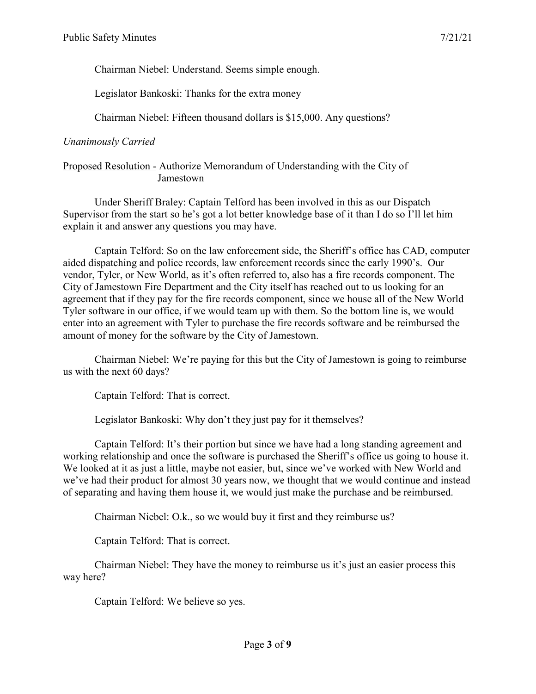Chairman Niebel: Understand. Seems simple enough.

Legislator Bankoski: Thanks for the extra money

Chairman Niebel: Fifteen thousand dollars is \$15,000. Any questions?

# *Unanimously Carried*

### Proposed Resolution - Authorize Memorandum of Understanding with the City of Jamestown

Under Sheriff Braley: Captain Telford has been involved in this as our Dispatch Supervisor from the start so he's got a lot better knowledge base of it than I do so I'll let him explain it and answer any questions you may have.

Captain Telford: So on the law enforcement side, the Sheriff's office has CAD, computer aided dispatching and police records, law enforcement records since the early 1990's. Our vendor, Tyler, or New World, as it's often referred to, also has a fire records component. The City of Jamestown Fire Department and the City itself has reached out to us looking for an agreement that if they pay for the fire records component, since we house all of the New World Tyler software in our office, if we would team up with them. So the bottom line is, we would enter into an agreement with Tyler to purchase the fire records software and be reimbursed the amount of money for the software by the City of Jamestown.

Chairman Niebel: We're paying for this but the City of Jamestown is going to reimburse us with the next 60 days?

Captain Telford: That is correct.

Legislator Bankoski: Why don't they just pay for it themselves?

Captain Telford: It's their portion but since we have had a long standing agreement and working relationship and once the software is purchased the Sheriff's office us going to house it. We looked at it as just a little, maybe not easier, but, since we've worked with New World and we've had their product for almost 30 years now, we thought that we would continue and instead of separating and having them house it, we would just make the purchase and be reimbursed.

Chairman Niebel: O.k., so we would buy it first and they reimburse us?

Captain Telford: That is correct.

Chairman Niebel: They have the money to reimburse us it's just an easier process this way here?

Captain Telford: We believe so yes.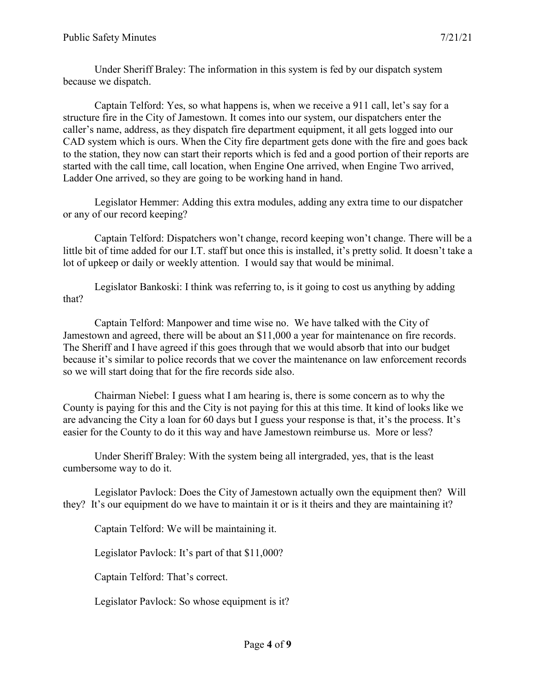Under Sheriff Braley: The information in this system is fed by our dispatch system because we dispatch.

Captain Telford: Yes, so what happens is, when we receive a 911 call, let's say for a structure fire in the City of Jamestown. It comes into our system, our dispatchers enter the caller's name, address, as they dispatch fire department equipment, it all gets logged into our CAD system which is ours. When the City fire department gets done with the fire and goes back to the station, they now can start their reports which is fed and a good portion of their reports are started with the call time, call location, when Engine One arrived, when Engine Two arrived, Ladder One arrived, so they are going to be working hand in hand.

Legislator Hemmer: Adding this extra modules, adding any extra time to our dispatcher or any of our record keeping?

Captain Telford: Dispatchers won't change, record keeping won't change. There will be a little bit of time added for our I.T. staff but once this is installed, it's pretty solid. It doesn't take a lot of upkeep or daily or weekly attention. I would say that would be minimal.

Legislator Bankoski: I think was referring to, is it going to cost us anything by adding that?

Captain Telford: Manpower and time wise no. We have talked with the City of Jamestown and agreed, there will be about an \$11,000 a year for maintenance on fire records. The Sheriff and I have agreed if this goes through that we would absorb that into our budget because it's similar to police records that we cover the maintenance on law enforcement records so we will start doing that for the fire records side also.

Chairman Niebel: I guess what I am hearing is, there is some concern as to why the County is paying for this and the City is not paying for this at this time. It kind of looks like we are advancing the City a loan for 60 days but I guess your response is that, it's the process. It's easier for the County to do it this way and have Jamestown reimburse us. More or less?

Under Sheriff Braley: With the system being all intergraded, yes, that is the least cumbersome way to do it.

Legislator Pavlock: Does the City of Jamestown actually own the equipment then? Will they? It's our equipment do we have to maintain it or is it theirs and they are maintaining it?

Captain Telford: We will be maintaining it.

Legislator Pavlock: It's part of that \$11,000?

Captain Telford: That's correct.

Legislator Pavlock: So whose equipment is it?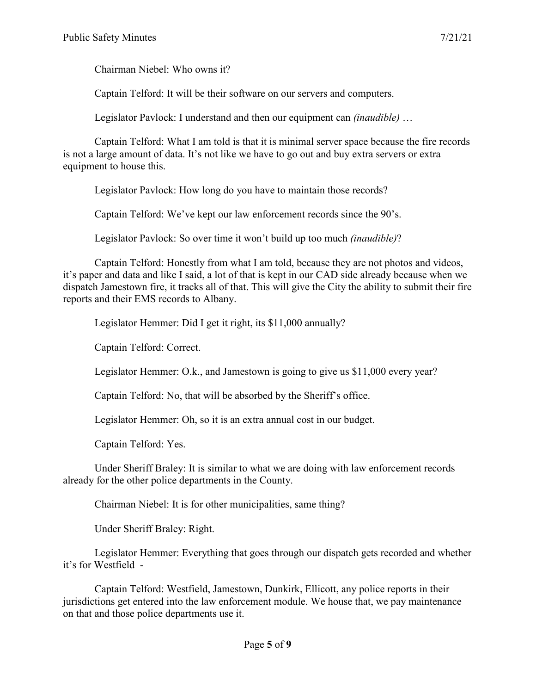Chairman Niebel: Who owns it?

Captain Telford: It will be their software on our servers and computers.

Legislator Pavlock: I understand and then our equipment can *(inaudible)* …

Captain Telford: What I am told is that it is minimal server space because the fire records is not a large amount of data. It's not like we have to go out and buy extra servers or extra equipment to house this.

Legislator Pavlock: How long do you have to maintain those records?

Captain Telford: We've kept our law enforcement records since the 90's.

Legislator Pavlock: So over time it won't build up too much *(inaudible)*?

Captain Telford: Honestly from what I am told, because they are not photos and videos, it's paper and data and like I said, a lot of that is kept in our CAD side already because when we dispatch Jamestown fire, it tracks all of that. This will give the City the ability to submit their fire reports and their EMS records to Albany.

Legislator Hemmer: Did I get it right, its \$11,000 annually?

Captain Telford: Correct.

Legislator Hemmer: O.k., and Jamestown is going to give us \$11,000 every year?

Captain Telford: No, that will be absorbed by the Sheriff's office.

Legislator Hemmer: Oh, so it is an extra annual cost in our budget.

Captain Telford: Yes.

Under Sheriff Braley: It is similar to what we are doing with law enforcement records already for the other police departments in the County.

Chairman Niebel: It is for other municipalities, same thing?

Under Sheriff Braley: Right.

Legislator Hemmer: Everything that goes through our dispatch gets recorded and whether it's for Westfield -

Captain Telford: Westfield, Jamestown, Dunkirk, Ellicott, any police reports in their jurisdictions get entered into the law enforcement module. We house that, we pay maintenance on that and those police departments use it.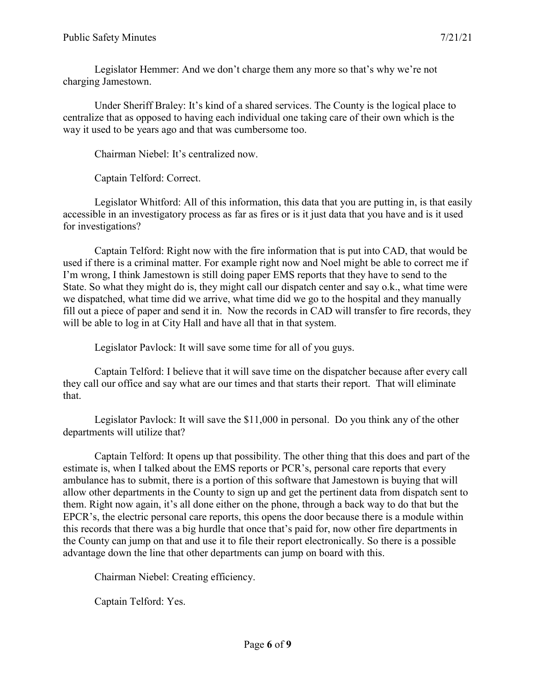Legislator Hemmer: And we don't charge them any more so that's why we're not charging Jamestown.

Under Sheriff Braley: It's kind of a shared services. The County is the logical place to centralize that as opposed to having each individual one taking care of their own which is the way it used to be years ago and that was cumbersome too.

Chairman Niebel: It's centralized now.

Captain Telford: Correct.

Legislator Whitford: All of this information, this data that you are putting in, is that easily accessible in an investigatory process as far as fires or is it just data that you have and is it used for investigations?

Captain Telford: Right now with the fire information that is put into CAD, that would be used if there is a criminal matter. For example right now and Noel might be able to correct me if I'm wrong, I think Jamestown is still doing paper EMS reports that they have to send to the State. So what they might do is, they might call our dispatch center and say o.k., what time were we dispatched, what time did we arrive, what time did we go to the hospital and they manually fill out a piece of paper and send it in. Now the records in CAD will transfer to fire records, they will be able to log in at City Hall and have all that in that system.

Legislator Pavlock: It will save some time for all of you guys.

Captain Telford: I believe that it will save time on the dispatcher because after every call they call our office and say what are our times and that starts their report. That will eliminate that.

Legislator Pavlock: It will save the \$11,000 in personal. Do you think any of the other departments will utilize that?

Captain Telford: It opens up that possibility. The other thing that this does and part of the estimate is, when I talked about the EMS reports or PCR's, personal care reports that every ambulance has to submit, there is a portion of this software that Jamestown is buying that will allow other departments in the County to sign up and get the pertinent data from dispatch sent to them. Right now again, it's all done either on the phone, through a back way to do that but the EPCR's, the electric personal care reports, this opens the door because there is a module within this records that there was a big hurdle that once that's paid for, now other fire departments in the County can jump on that and use it to file their report electronically. So there is a possible advantage down the line that other departments can jump on board with this.

Chairman Niebel: Creating efficiency.

Captain Telford: Yes.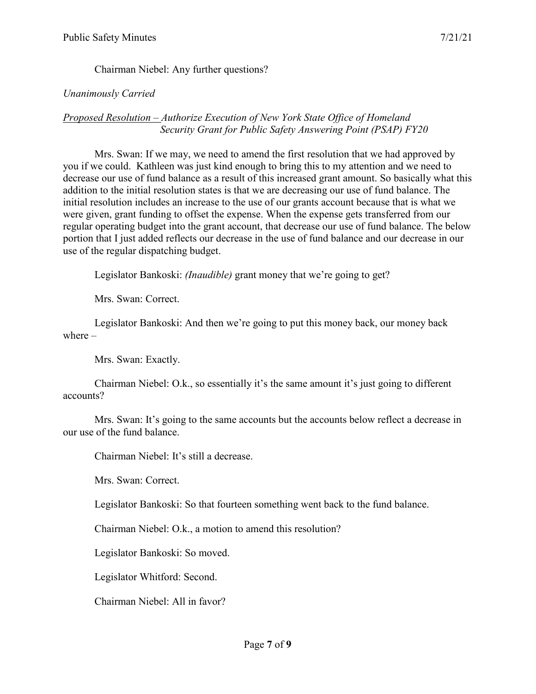# Chairman Niebel: Any further questions?

### *Unanimously Carried*

#### *Proposed Resolution – Authorize Execution of New York State Office of Homeland Security Grant for Public Safety Answering Point (PSAP) FY20*

Mrs. Swan: If we may, we need to amend the first resolution that we had approved by you if we could. Kathleen was just kind enough to bring this to my attention and we need to decrease our use of fund balance as a result of this increased grant amount. So basically what this addition to the initial resolution states is that we are decreasing our use of fund balance. The initial resolution includes an increase to the use of our grants account because that is what we were given, grant funding to offset the expense. When the expense gets transferred from our regular operating budget into the grant account, that decrease our use of fund balance. The below portion that I just added reflects our decrease in the use of fund balance and our decrease in our use of the regular dispatching budget.

Legislator Bankoski: *(Inaudible)* grant money that we're going to get?

Mrs. Swan: Correct.

Legislator Bankoski: And then we're going to put this money back, our money back where –

Mrs. Swan: Exactly.

Chairman Niebel: O.k., so essentially it's the same amount it's just going to different accounts?

Mrs. Swan: It's going to the same accounts but the accounts below reflect a decrease in our use of the fund balance.

Chairman Niebel: It's still a decrease.

Mrs. Swan: Correct.

Legislator Bankoski: So that fourteen something went back to the fund balance.

Chairman Niebel: O.k., a motion to amend this resolution?

Legislator Bankoski: So moved.

Legislator Whitford: Second.

Chairman Niebel: All in favor?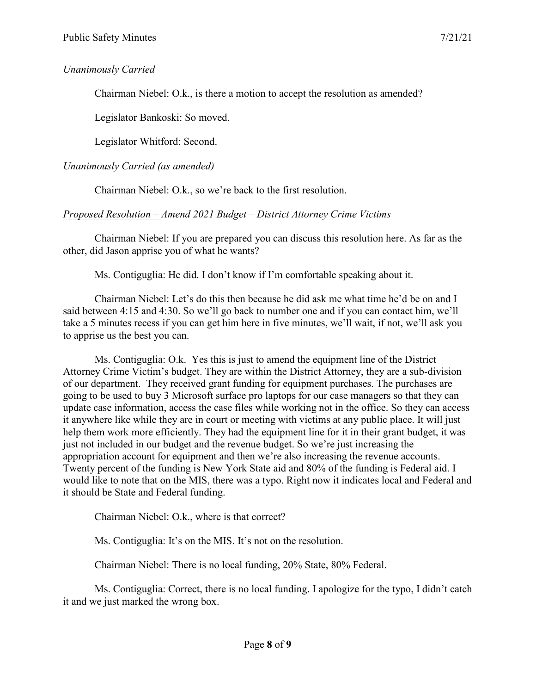# *Unanimously Carried*

Chairman Niebel: O.k., is there a motion to accept the resolution as amended?

Legislator Bankoski: So moved.

Legislator Whitford: Second.

# *Unanimously Carried (as amended)*

Chairman Niebel: O.k., so we're back to the first resolution.

# *Proposed Resolution – Amend 2021 Budget – District Attorney Crime Victims*

Chairman Niebel: If you are prepared you can discuss this resolution here. As far as the other, did Jason apprise you of what he wants?

Ms. Contiguglia: He did. I don't know if I'm comfortable speaking about it.

Chairman Niebel: Let's do this then because he did ask me what time he'd be on and I said between 4:15 and 4:30. So we'll go back to number one and if you can contact him, we'll take a 5 minutes recess if you can get him here in five minutes, we'll wait, if not, we'll ask you to apprise us the best you can.

Ms. Contiguglia: O.k. Yes this is just to amend the equipment line of the District Attorney Crime Victim's budget. They are within the District Attorney, they are a sub-division of our department. They received grant funding for equipment purchases. The purchases are going to be used to buy 3 Microsoft surface pro laptops for our case managers so that they can update case information, access the case files while working not in the office. So they can access it anywhere like while they are in court or meeting with victims at any public place. It will just help them work more efficiently. They had the equipment line for it in their grant budget, it was just not included in our budget and the revenue budget. So we're just increasing the appropriation account for equipment and then we're also increasing the revenue accounts. Twenty percent of the funding is New York State aid and 80% of the funding is Federal aid. I would like to note that on the MIS, there was a typo. Right now it indicates local and Federal and it should be State and Federal funding.

Chairman Niebel: O.k., where is that correct?

Ms. Contiguglia: It's on the MIS. It's not on the resolution.

Chairman Niebel: There is no local funding, 20% State, 80% Federal.

Ms. Contiguglia: Correct, there is no local funding. I apologize for the typo, I didn't catch it and we just marked the wrong box.